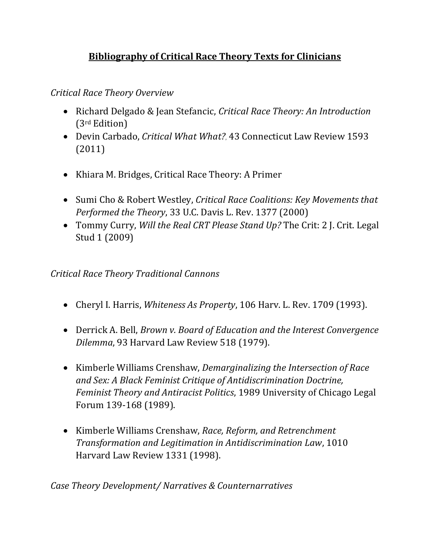# **Bibliography of Critical Race Theory Texts for Clinicians**

*Critical Race Theory Overview*

- Richard Delgado & Jean Stefancic, *Critical Race Theory: An Introduction*  (3rd Edition)
- Devin Carbado, *Critical What What?,* 43 Connecticut Law Review 1593 (2011)
- Khiara M. Bridges, Critical Race Theory: A Primer
- Sumi Cho & Robert Westley, *Critical Race Coalitions: Key Movements that Performed the Theory*, 33 U.C. Davis L. Rev. 1377 (2000)
- Tommy Curry, *Will the Real CRT Please Stand Up?* The Crit: 2 J. Crit. Legal Stud 1 (2009)

*Critical Race Theory Traditional Cannons*

- Cheryl I. Harris, *Whiteness As Property*, 106 Harv. L. Rev. 1709 (1993).
- Derrick A. Bell, *Brown v. Board of Education and the Interest Convergence Dilemma*, 93 Harvard Law Review 518 (1979).
- Kimberle Williams Crenshaw, *Demarginalizing the Intersection of Race and Sex: A Black Feminist Critique of Antidiscrimination Doctrine, Feminist Theory and Antiracist Politics*, 1989 University of Chicago Legal Forum 139-168 (1989).
- Kimberle Williams Crenshaw, *Race, Reform, and Retrenchment Transformation and Legitimation in Antidiscrimination Law*, 1010 Harvard Law Review 1331 (1998).

*Case Theory Development/ Narratives & Counternarratives*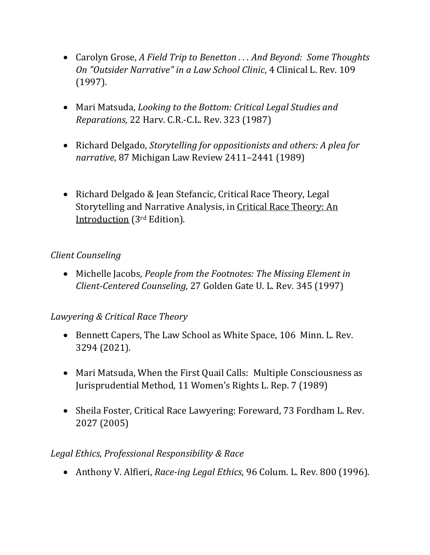- Carolyn Grose, *A Field Trip to Benetton . . . And Beyond: Some Thoughts On "Outsider Narrative" in a Law School Clinic*, 4 Clinical L. Rev. 109 (1997).
- Mari Matsuda, *Looking to the Bottom: Critical Legal Studies and Reparations*, 22 Harv. C.R.-C.L. Rev. 323 (1987)
- Richard Delgado, *Storytelling for oppositionists and others: A plea for narrative*, 87 Michigan Law Review 2411–2441 (1989)
- Richard Delgado & Jean Stefancic, Critical Race Theory, Legal Storytelling and Narrative Analysis, in Critical Race Theory: An Introduction (3rd Edition).

### *Client Counseling*

• Michelle Jacobs, *People from the Footnotes: The Missing Element in Client-Centered Counseling,* 27 Golden Gate U. L. Rev. 345 (1997)

## *Lawyering & Critical Race Theory*

- Bennett Capers, The Law School as White Space, 106 Minn. L. Rev. 3294 (2021).
- Mari Matsuda, When the First Quail Calls: Multiple Consciousness as Jurisprudential Method, 11 Women's Rights L. Rep. 7 (1989)
- Sheila Foster, Critical Race Lawyering: Foreward, 73 Fordham L. Rev. 2027 (2005)

#### *Legal Ethics, Professional Responsibility & Race*

• Anthony V. Alfieri, *Race-ing Legal Ethics*, 96 Colum. L. Rev. 800 (1996).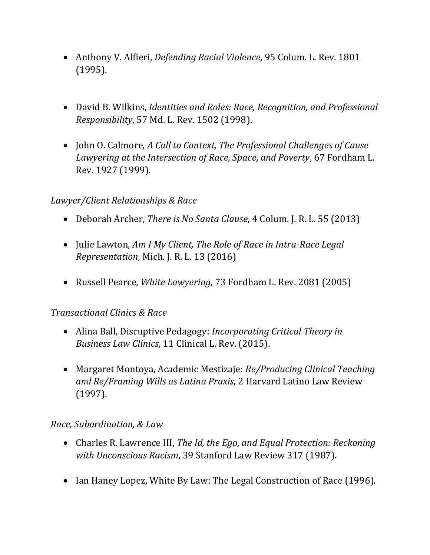- Anthony V. Alfieri, *Defending Racial Violence*, 95 Colum. L. Rev. 1801 (1995).
- David B. Wilkins, *Identities and Roles: Race, Recognition, and Professional Responsibility*, 57 Md. L. Rev. 1502 (1998).
- John O. Calmore, *A Call to Context, The Professional Challenges of Cause Lawyering at the Intersection of Race, Space, and Poverty*, 67 Fordham L. Rev. 1927 (1999).

#### *Lawyer/Client Relationships & Race*

- Deborah Archer, *There is No Santa Clause*, 4 Colum. J. R. L. 55 (2013)
- Julie Lawton, *Am I My Client, The Role of Race in Intra-Race Legal Representation*, Mich. J. R. L. 13 (2016)
- Russell Pearce, *White Lawyering*, 73 Fordham L. Rev. 2081 (2005)

#### *Transactional Clinics & Race*

- Alina Ball, Disruptive Pedagogy: *Incorporating Critical Theory in Business Law Clinics*, 11 Clinical L. Rev. (2015).
- Margaret Montoya, Academic Mestizaje: *Re/Producing Clinical Teaching and Re/Framing Wills as Latina Praxis*, 2 Harvard Latino Law Review (1997).

#### *Race, Subordination, & Law*

- Charles R. Lawrence III, *The Id, the Ego, and Equal Protection: Reckoning with Unconscious Racism*, 39 Stanford Law Review 317 (1987).
- Ian Haney Lopez, White By Law: The Legal Construction of Race (1996).